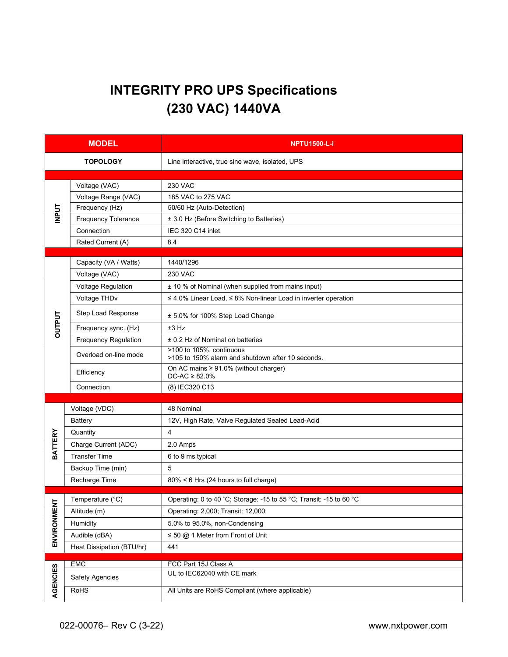## INTEGRITY PRO UPS Specifications (230 VAC) 1440VA

| <b>MODEL</b>   |                           | <b>NPTU1500-L-i</b>                                                           |  |  |
|----------------|---------------------------|-------------------------------------------------------------------------------|--|--|
|                | <b>TOPOLOGY</b>           | Line interactive, true sine wave, isolated, UPS                               |  |  |
|                | Voltage (VAC)             | <b>230 VAC</b>                                                                |  |  |
| <b>INPUT</b>   | Voltage Range (VAC)       | 185 VAC to 275 VAC                                                            |  |  |
|                | Frequency (Hz)            | 50/60 Hz (Auto-Detection)                                                     |  |  |
|                | Frequency Tolerance       | ± 3.0 Hz (Before Switching to Batteries)                                      |  |  |
|                | Connection                | IEC 320 C14 inlet                                                             |  |  |
|                | Rated Current (A)         | 8.4                                                                           |  |  |
|                |                           |                                                                               |  |  |
|                | Capacity (VA / Watts)     | 1440/1296                                                                     |  |  |
|                | Voltage (VAC)             | <b>230 VAC</b>                                                                |  |  |
|                | Voltage Regulation        | ± 10 % of Nominal (when supplied from mains input)                            |  |  |
|                | Voltage THDv              | $\leq$ 4.0% Linear Load, $\leq$ 8% Non-linear Load in inverter operation      |  |  |
|                | Step Load Response        | ± 5.0% for 100% Step Load Change                                              |  |  |
| <b>DUTPUT</b>  | Frequency sync. (Hz)      | ±3 Hz                                                                         |  |  |
|                | Frequency Regulation      | ± 0.2 Hz of Nominal on batteries                                              |  |  |
|                | Overload on-line mode     | >100 to 105%, continuous<br>>105 to 150% alarm and shutdown after 10 seconds. |  |  |
|                | Efficiency                | On AC mains $\geq 91.0\%$ (without charger)<br>$DC-AC \geq 82.0\%$            |  |  |
|                | Connection                | (8) IEC320 C13                                                                |  |  |
|                |                           |                                                                               |  |  |
|                | Voltage (VDC)             | 48 Nominal                                                                    |  |  |
|                | <b>Battery</b>            | 12V, High Rate, Valve Regulated Sealed Lead-Acid                              |  |  |
| <b>BATTERY</b> | Quantity                  | $\overline{4}$                                                                |  |  |
|                | Charge Current (ADC)      | 2.0 Amps                                                                      |  |  |
|                | <b>Transfer Time</b>      | 6 to 9 ms typical                                                             |  |  |
|                | Backup Time (min)         | 5                                                                             |  |  |
|                | Recharge Time             | 80% < 6 Hrs (24 hours to full charge)                                         |  |  |
| ち              | Temperature (°C)          | Operating: 0 to 40 °C; Storage: -15 to 55 °C; Transit: -15 to 60 °C           |  |  |
|                | Altitude (m)              | Operating: 2,000; Transit: 12,000                                             |  |  |
| ENVIRONME      | Humidity                  | 5.0% to 95.0%, non-Condensing                                                 |  |  |
|                | Audible (dBA)             | $\leq$ 50 @ 1 Meter from Front of Unit                                        |  |  |
|                | Heat Dissipation (BTU/hr) | 441                                                                           |  |  |
|                |                           |                                                                               |  |  |
|                | EMC                       | FCC Part 15J Class A<br>UL to IEC62040 with CE mark                           |  |  |
| AGENCIES       | <b>Safety Agencies</b>    |                                                                               |  |  |
|                | <b>RoHS</b>               | All Units are RoHS Compliant (where applicable)                               |  |  |